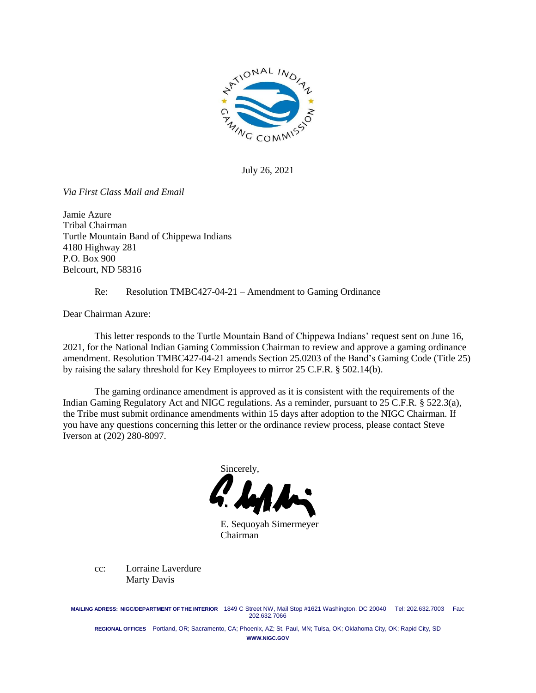

July 26, 2021

*Via First Class Mail and Email*

Jamie Azure Tribal Chairman Turtle Mountain Band of Chippewa Indians 4180 Highway 281 P.O. Box 900 Belcourt, ND 58316

Re: Resolution TMBC427-04-21 – Amendment to Gaming Ordinance

Dear Chairman Azure:

This letter responds to the Turtle Mountain Band of Chippewa Indians' request sent on June 16, 2021, for the National Indian Gaming Commission Chairman to review and approve a gaming ordinance amendment. Resolution TMBC427-04-21 amends Section 25.0203 of the Band's Gaming Code (Title 25) by raising the salary threshold for Key Employees to mirror 25 C.F.R. § 502.14(b).

The gaming ordinance amendment is approved as it is consistent with the requirements of the Indian Gaming Regulatory Act and NIGC regulations. As a reminder, pursuant to 25 C.F.R. § 522.3(a), the Tribe must submit ordinance amendments within 15 days after adoption to the NIGC Chairman. If you have any questions concerning this letter or the ordinance review process, please contact Steve Iverson at (202) 280-8097.

Sincerely,

E. Sequoyah Simermeyer Chairman

cc: Lorraine Laverdure Marty Davis

**MAILING ADRESS: NIGC/DEPARTMENT OF THE INTERIOR** 1849 C Street NW, Mail Stop #1621 Washington, DC 20040 Tel: 202.632.7003 Fax: 202.632.7066

**REGIONAL OFFICES** Portland, OR; Sacramento, CA; Phoenix, AZ; St. Paul, MN; Tulsa, OK; Oklahoma City, OK; Rapid City, SD **WWW.NIGC.GOV**